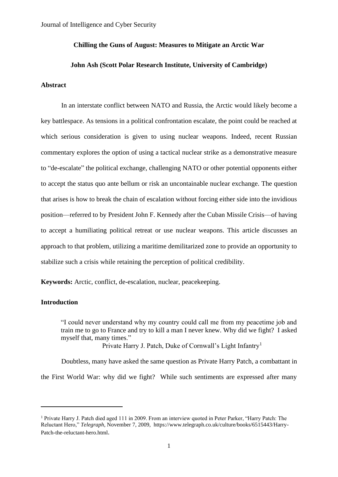# **Chilling the Guns of August: Measures to Mitigate an Arctic War**

## **John Ash (Scott Polar Research Institute, University of Cambridge)**

# **Abstract**

In an interstate conflict between NATO and Russia, the Arctic would likely become a key battlespace. As tensions in a political confrontation escalate, the point could be reached at which serious consideration is given to using nuclear weapons. Indeed, recent Russian commentary explores the option of using a tactical nuclear strike as a demonstrative measure to "de-escalate" the political exchange, challenging NATO or other potential opponents either to accept the status quo ante bellum or risk an uncontainable nuclear exchange. The question that arises is how to break the chain of escalation without forcing either side into the invidious position—referred to by President John F. Kennedy after the Cuban Missile Crisis—of having to accept a humiliating political retreat or use nuclear weapons. This article discusses an approach to that problem, utilizing a maritime demilitarized zone to provide an opportunity to stabilize such a crisis while retaining the perception of political credibility.

**Keywords:** Arctic, conflict, de-escalation, nuclear, peacekeeping.

# **Introduction**

"I could never understand why my country could call me from my peacetime job and train me to go to France and try to kill a man I never knew. Why did we fight? I asked myself that, many times."

Private Harry J. Patch, Duke of Cornwall's Light Infantry<sup>1</sup>

Doubtless, many have asked the same question as Private Harry Patch, a combattant in the First World War: why did we fight? While such sentiments are expressed after many

<sup>1</sup> Private Harry J. Patch died aged 111 in 2009. From an interview quoted in Peter Parker, "Harry Patch: The Reluctant Hero," *Telegraph*, November 7, 2009, [https://www.telegraph.co.uk/culture/books/6515443/Harry-](https://www.telegraph.co.uk/culture/books/6515443/Harry-Patch-the-reluctant-hero.html)[Patch-the-reluctant-hero.html](https://www.telegraph.co.uk/culture/books/6515443/Harry-Patch-the-reluctant-hero.html).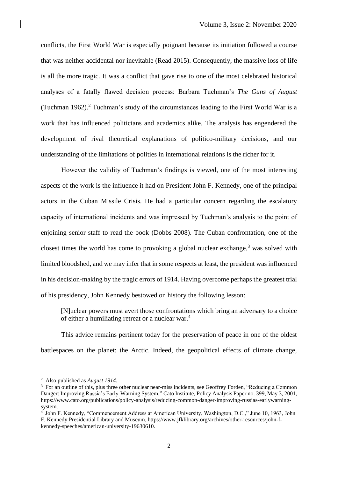conflicts, the First World War is especially poignant because its initiation followed a course that was neither accidental nor inevitable (Read 2015). Consequently, the massive loss of life is all the more tragic. It was a conflict that gave rise to one of the most celebrated historical analyses of a fatally flawed decision process: Barbara Tuchman's *The Guns of August* (Tuchman 1962). <sup>2</sup> Tuchman's study of the circumstances leading to the First World War is a work that has influenced politicians and academics alike. The analysis has engendered the development of rival theoretical explanations of politico-military decisions, and our understanding of the limitations of polities in international relations is the richer for it.

However the validity of Tuchman's findings is viewed, one of the most interesting aspects of the work is the influence it had on President John F. Kennedy, one of the principal actors in the Cuban Missile Crisis. He had a particular concern regarding the escalatory capacity of international incidents and was impressed by Tuchman's analysis to the point of enjoining senior staff to read the book (Dobbs 2008). The Cuban confrontation, one of the closest times the world has come to provoking a global nuclear exchange, $3$  was solved with limited bloodshed, and we may infer that in some respects at least, the president was influenced in his decision-making by the tragic errors of 1914. Having overcome perhaps the greatest trial of his presidency, John Kennedy bestowed on history the following lesson:

[N]uclear powers must avert those confrontations which bring an adversary to a choice of either a humiliating retreat or a nuclear war.<sup>4</sup>

This advice remains pertinent today for the preservation of peace in one of the oldest battlespaces on the planet: the Arctic. Indeed, the geopolitical effects of climate change,

<sup>2</sup> Also published as *August 1914*.

<sup>&</sup>lt;sup>3</sup> For an outline of this, plus three other nuclear near-miss incidents, see Geoffrey Forden, "Reducing a Common Danger: Improving Russia's Early-Warning System," Cato Institute, Policy Analysis Paper no. 399, May 3, 2001, https://www.cato.org/publications/policy-analysis/reducing-common-danger-improving-russias-earlywarningsystem.

<sup>4</sup> John F. Kennedy, "Commencement Address at American University, Washington, D.C.," June 10, 1963, John F. Kennedy Presidential Library and Museum, https://www.jfklibrary.org/archives/other-resources/john-fkennedy-speeches/american-university-19630610.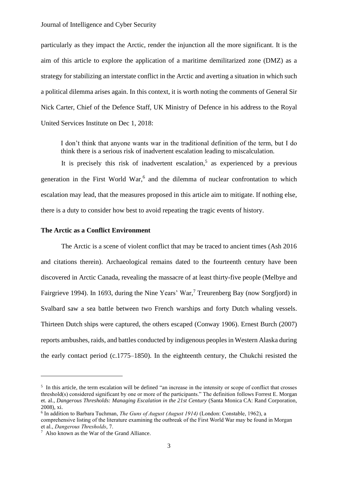### Journal of Intelligence and Cyber Security

particularly as they impact the Arctic, render the injunction all the more significant. It is the aim of this article to explore the application of a maritime demilitarized zone (DMZ) as a strategy for stabilizing an interstate conflict in the Arctic and averting a situation in which such a political dilemma arises again. In this context, it is worth noting the comments of General Sir Nick Carter, Chief of the Defence Staff, UK Ministry of Defence in his address to the Royal United Services Institute on Dec 1, 2018:

I don't think that anyone wants war in the traditional definition of the term, but I do think there is a serious risk of inadvertent escalation leading to miscalculation.

It is precisely this risk of inadvertent escalation, 5 as experienced by a previous generation in the First World War, 6 and the dilemma of nuclear confrontation to which escalation may lead, that the measures proposed in this article aim to mitigate. If nothing else, there is a duty to consider how best to avoid repeating the tragic events of history.

## **The Arctic as a Conflict Environment**

The Arctic is a scene of violent conflict that may be traced to ancient times (Ash 2016 and citations therein). Archaeological remains dated to the fourteenth century have been discovered in Arctic Canada, revealing the massacre of at least thirty-five people (Melbye and Fairgrieve 1994). In 1693, during the Nine Years' War,<sup>7</sup> Treurenberg Bay (now Sorgfjord) in Svalbard saw a sea battle between two French warships and forty Dutch whaling vessels. Thirteen Dutch ships were captured, the others escaped (Conway 1906). Ernest Burch (2007) reports ambushes, raids, and battles conducted by indigenous peoples in Western Alaska during the early contact period (c.1775–1850). In the eighteenth century, the Chukchi resisted the

comprehensive listing of the literature examining the outbreak of the First World War may be found in Morgan et al., *Dangerous Thresholds*, 7.

<sup>&</sup>lt;sup>5</sup> In this article, the term escalation will be defined "an increase in the intensity or scope of conflict that crosses threshold(s) considered significant by one or more of the participants." The definition follows Forrest E. Morgan et. al., *Dangerous Thresholds: Managing Escalation in the 21st Century* (Santa Monica CA: Rand Corporation, 2008), xi.

<sup>6</sup> In addition to Barbara Tuchman, *The Guns of August (August 1914)* (London: Constable, 1962), a

<sup>7</sup> Also known as the War of the Grand Alliance.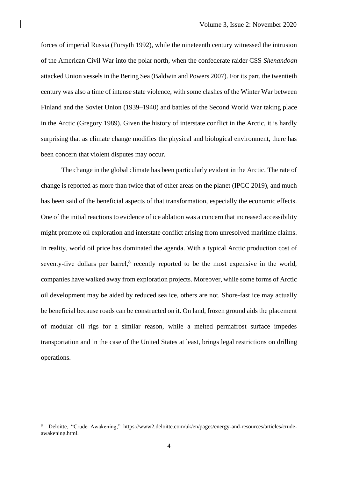forces of imperial Russia (Forsyth 1992), while the nineteenth century witnessed the intrusion of the American Civil War into the polar north, when the confederate raider CSS *Shenandoah* attacked Union vessels in the Bering Sea (Baldwin and Powers 2007). For its part, the twentieth century was also a time of intense state violence, with some clashes of the Winter War between Finland and the Soviet Union (1939–1940) and battles of the Second World War taking place in the Arctic (Gregory 1989). Given the history of interstate conflict in the Arctic, it is hardly surprising that as climate change modifies the physical and biological environment, there has been concern that violent disputes may occur.

The change in the global climate has been particularly evident in the Arctic. The rate of change is reported as more than twice that of other areas on the planet (IPCC 2019), and much has been said of the beneficial aspects of that transformation, especially the economic effects. One of the initial reactions to evidence of ice ablation was a concern that increased accessibility might promote oil exploration and interstate conflict arising from unresolved maritime claims. In reality, world oil price has dominated the agenda. With a typical Arctic production cost of seventy-five dollars per barrel,<sup>8</sup> recently reported to be the most expensive in the world, companies have walked away from exploration projects. Moreover, while some forms of Arctic oil development may be aided by reduced sea ice, others are not. Shore-fast ice may actually be beneficial because roads can be constructed on it. On land, frozen ground aids the placement of modular oil rigs for a similar reason, while a melted permafrost surface impedes transportation and in the case of the United States at least, brings legal restrictions on drilling operations.

<sup>8</sup> Deloitte, "Crude Awakening," https://www2.deloitte.com/uk/en/pages/energy-and-resources/articles/crudeawakening.html.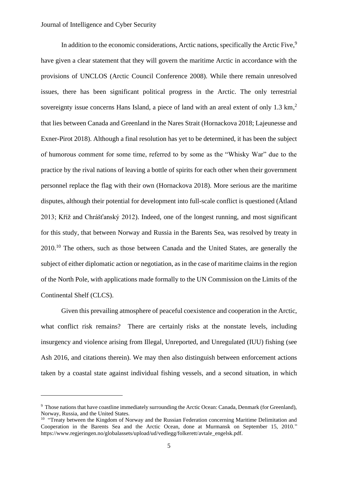In addition to the economic considerations, Arctic nations, specifically the Arctic Five,<sup>9</sup> have given a clear statement that they will govern the maritime Arctic in accordance with the provisions of UNCLOS (Arctic Council Conference 2008). While there remain unresolved issues, there has been significant political progress in the Arctic. The only terrestrial sovereignty issue concerns Hans Island, a piece of land with an areal extent of only 1.3 km,<sup>2</sup> that lies between Canada and Greenland in the Nares Strait (Hornackova 2018; Lajeunesse and Exner-Pirot 2018). Although a final resolution has yet to be determined, it has been the subject of humorous comment for some time, referred to by some as the "Whisky War" due to the practice by the rival nations of leaving a bottle of spirits for each other when their government personnel replace the flag with their own (Hornackova 2018). More serious are the maritime disputes, although their potential for development into full-scale conflict is questioned (Åtland 2013; Kříž and Chrášťanský 2012). Indeed, one of the longest running, and most significant for this study, that between Norway and Russia in the Barents Sea, was resolved by treaty in 2010.<sup>10</sup> The others, such as those between Canada and the United States, are generally the subject of either diplomatic action or negotiation, as in the case of maritime claims in the region of the North Pole, with applications made formally to the UN Commission on the Limits of the Continental Shelf (CLCS).

Given this prevailing atmosphere of peaceful coexistence and cooperation in the Arctic, what conflict risk remains? There are certainly risks at the nonstate levels, including insurgency and violence arising from Illegal, Unreported, and Unregulated (IUU) fishing (see Ash 2016, and citations therein). We may then also distinguish between enforcement actions taken by a coastal state against individual fishing vessels, and a second situation, in which

<sup>&</sup>lt;sup>9</sup> Those nations that have coastline immediately surrounding the Arctic Ocean: Canada, Denmark (for Greenland), Norway, Russia, and the United States.

<sup>&</sup>lt;sup>10</sup> "Treaty between the Kingdom of Norway and the Russian Federation concerning Maritime Delimitation and Cooperation in the Barents Sea and the Arctic Ocean, done at Murmansk on September 15, 2010." https://www.regjeringen.no/globalassets/upload/ud/vedlegg/folkerett/avtale\_engelsk.pdf.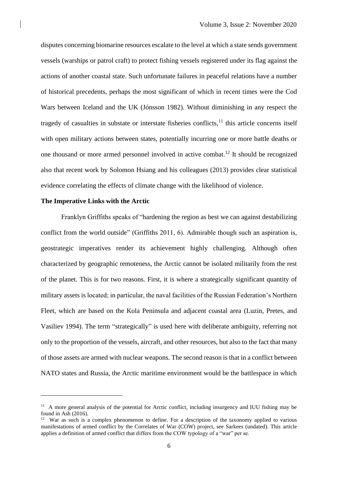disputes concerning biomarine resources escalate to the level at which a state sends government vessels (warships or patrol craft) to protect fishing vessels registered under its flag against the actions of another coastal state. Such unfortunate failures in peaceful relations have a number of historical precedents, perhaps the most significant of which in recent times were the Cod Wars between Iceland and the UK (Jónsson 1982). Without diminishing in any respect the tragedy of casualties in substate or interstate fisheries conflicts,<sup>11</sup> this article concerns itself with open military actions between states, potentially incurring one or more battle deaths or one thousand or more armed personnel involved in active combat. <sup>12</sup> It should be recognized also that recent work by Solomon Hsiang and his colleagues (2013) provides clear statistical evidence correlating the effects of climate change with the likelihood of violence.

# **The Imperative Links with the Arctic**

Franklyn Griffiths speaks of "hardening the region as best we can against destabilizing conflict from the world outside" (Griffiths 2011, 6). Admirable though such an aspiration is, geostrategic imperatives render its achievement highly challenging. Although often characterized by geographic remoteness, the Arctic cannot be isolated militarily from the rest of the planet. This is for two reasons. First, it is where a strategically significant quantity of military assets is located; in particular, the naval facilities of the Russian Federation's Northern Fleet, which are based on the Kola Peninsula and adjacent coastal area (Luzin, Pretes, and Vasiliev 1994). The term "strategically" is used here with deliberate ambiguity, referring not only to the proportion of the vessels, aircraft, and other resources, but also to the fact that many of those assets are armed with nuclear weapons. The second reason is that in a conflict between NATO states and Russia, the Arctic maritime environment would be the battlespace in which

<sup>&</sup>lt;sup>11</sup> A more general analysis of the potential for Arctic conflict, including insurgency and IUU fishing may be found in Ash (2016).

<sup>&</sup>lt;sup>12</sup> War as such is a complex phenomenon to define. For a description of the taxonomy applied to various manifestations of armed conflict by the Correlates of War (COW) project, see Sarkees (undated). This article applies a definition of armed conflict that differs from the COW typology of a "war" per se.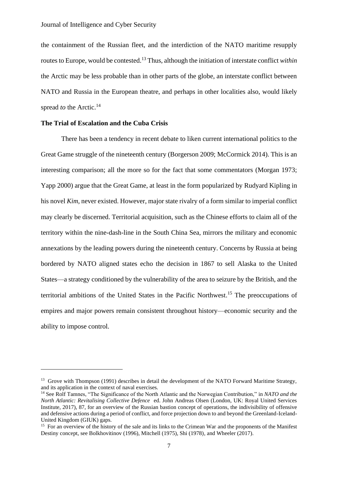the containment of the Russian fleet, and the interdiction of the NATO maritime resupply routes to Europe, would be contested. <sup>13</sup> Thus, although the initiation of interstate conflict *within* the Arctic may be less probable than in other parts of the globe, an interstate conflict between NATO and Russia in the European theatre, and perhaps in other localities also, would likely spread *to* the Arctic.<sup>14</sup>

# **The Trial of Escalation and the Cuba Crisis**

There has been a tendency in recent debate to liken current international politics to the Great Game struggle of the nineteenth century (Borgerson 2009; McCormick 2014). This is an interesting comparison; all the more so for the fact that some commentators (Morgan 1973; Yapp 2000) argue that the Great Game, at least in the form popularized by Rudyard Kipling in his novel *Kim*, never existed. However, major state rivalry of a form similar to imperial conflict may clearly be discerned. Territorial acquisition, such as the Chinese efforts to claim all of the territory within the nine-dash-line in the South China Sea, mirrors the military and economic annexations by the leading powers during the nineteenth century. Concerns by Russia at being bordered by NATO aligned states echo the decision in 1867 to sell Alaska to the United States—a strategy conditioned by the vulnerability of the area to seizure by the British, and the territorial ambitions of the United States in the Pacific Northwest.<sup>15</sup> The preoccupations of empires and major powers remain consistent throughout history—economic security and the ability to impose control.

<sup>&</sup>lt;sup>13</sup> Grove with Thompson (1991) describes in detail the development of the NATO Forward Maritime Strategy, and its application in the context of naval exercises.

<sup>14</sup> See Rolf Tamnes, "The Significance of the North Atlantic and the Norwegian Contribution," in *NATO and the North Atlantic: Revitalising Collective Defence* ed. John Andreas Olsen (London, UK: Royal United Services Institute, 2017), 87, for an overview of the Russian bastion concept of operations, the indivisibility of offensive and defensive actions during a period of conflict, and force projection down to and beyond the Greenland-Iceland-United Kingdom (GIUK) gaps.

<sup>&</sup>lt;sup>15</sup> For an overview of the history of the sale and its links to the Crimean War and the proponents of the Manifest Destiny concept, see Bolkhovitinov (1996), Mitchell (1975), Shi (1978), and Wheeler (2017).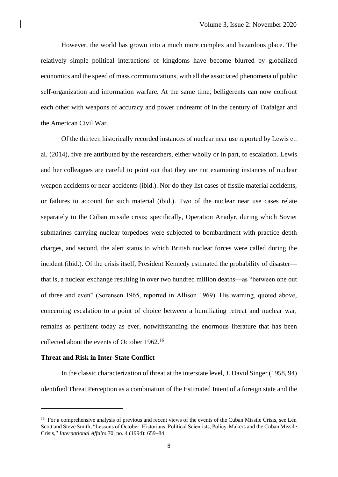However, the world has grown into a much more complex and hazardous place. The relatively simple political interactions of kingdoms have become blurred by globalized economics and the speed of mass communications, with all the associated phenomena of public self-organization and information warfare. At the same time, belligerents can now confront each other with weapons of accuracy and power undreamt of in the century of Trafalgar and the American Civil War.

Of the thirteen historically recorded instances of nuclear near use reported by Lewis et. al. (2014), five are attributed by the researchers, either wholly or in part, to escalation. Lewis and her colleagues are careful to point out that they are not examining instances of nuclear weapon accidents or near-accidents (ibid.). Nor do they list cases of fissile material accidents, or failures to account for such material (ibid.). Two of the nuclear near use cases relate separately to the Cuban missile crisis; specifically, Operation Anadyr, during which Soviet submarines carrying nuclear torpedoes were subjected to bombardment with practice depth charges, and second, the alert status to which British nuclear forces were called during the incident (ibid.). Of the crisis itself, President Kennedy estimated the probability of disaster that is, a nuclear exchange resulting in over two hundred million deaths—as "between one out of three and even" (Sorensen 1965, reported in Allison 1969). His warning, quoted above, concerning escalation to a point of choice between a humiliating retreat and nuclear war, remains as pertinent today as ever, notwithstanding the enormous literature that has been collected about the events of October 1962. 16

### **Threat and Risk in Inter-State Conflict**

In the classic characterization of threat at the interstate level, J. David Singer (1958, 94) identified Threat Perception as a combination of the Estimated Intent of a foreign state and the

<sup>&</sup>lt;sup>16</sup> For a comprehensive analysis of previous and recent views of the events of the Cuban Missile Crisis, see Len Scott and Steve Smith, "Lessons of October: Historians, Political Scientists, Policy-Makers and the Cuban Missile Crisis," *International Affairs* 70, no. 4 (1994): 659–84.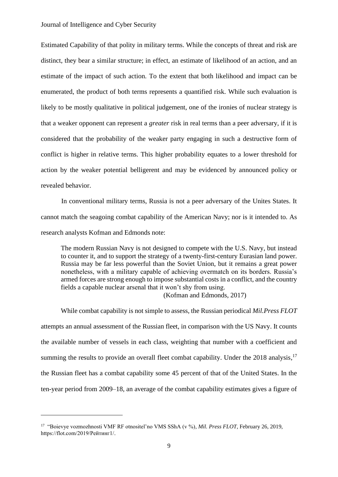Estimated Capability of that polity in military terms. While the concepts of threat and risk are distinct, they bear a similar structure; in effect, an estimate of likelihood of an action, and an estimate of the impact of such action. To the extent that both likelihood and impact can be enumerated, the product of both terms represents a quantified risk. While such evaluation is likely to be mostly qualitative in political judgement, one of the ironies of nuclear strategy is that a weaker opponent can represent a *greater* risk in real terms than a peer adversary, if it is considered that the probability of the weaker party engaging in such a destructive form of conflict is higher in relative terms. This higher probability equates to a lower threshold for action by the weaker potential belligerent and may be evidenced by announced policy or revealed behavior.

In conventional military terms, Russia is not a peer adversary of the Unites States. It cannot match the seagoing combat capability of the American Navy; nor is it intended to. As research analysts Kofman and Edmonds note:

The modern Russian Navy is not designed to compete with the U.S. Navy, but instead to counter it, and to support the strategy of a twenty-first-century Eurasian land power. Russia may be far less powerful than the Soviet Union, but it remains a great power nonetheless, with a military capable of achieving overmatch on its borders. Russia's armed forces are strong enough to impose substantial costs in a conflict, and the country fields a capable nuclear arsenal that it won't shy from using.

(Kofman and Edmonds, 2017)

While combat capability is not simple to assess, the Russian periodical *Mil.Press FLOT* attempts an annual assessment of the Russian fleet, in comparison with the US Navy. It counts the available number of vessels in each class, weighting that number with a coefficient and summing the results to provide an overall fleet combat capability. Under the 2018 analysis,<sup>17</sup> the Russian fleet has a combat capability some 45 percent of that of the United States. In the ten-year period from 2009–18, an average of the combat capability estimates gives a figure of

<sup>17</sup> "Boievye vozmozhnosti VMF RF otnositel'no VMS SShA (v %), *Mil. Press FLOT*, February 26, 2019, https://flot.com/2019/Рейтинг1/.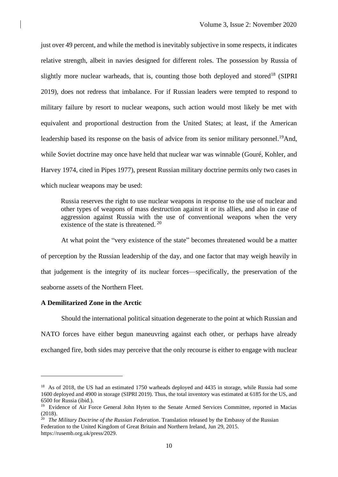just over 49 percent, and while the method is inevitably subjective in some respects, it indicates relative strength, albeit in navies designed for different roles. The possession by Russia of slightly more nuclear warheads, that is, counting those both deployed and stored<sup>18</sup> (SIPRI 2019), does not redress that imbalance. For if Russian leaders were tempted to respond to military failure by resort to nuclear weapons, such action would most likely be met with equivalent and proportional destruction from the United States; at least, if the American leadership based its response on the basis of advice from its senior military personnel.<sup>19</sup>And, while Soviet doctrine may once have held that nuclear war was winnable (Gouré, Kohler, and Harvey 1974, cited in Pipes 1977), present Russian military doctrine permits only two cases in which nuclear weapons may be used:

Russia reserves the right to use nuclear weapons in response to the use of nuclear and other types of weapons of mass destruction against it or its allies, and also in case of aggression against Russia with the use of conventional weapons when the very existence of the state is threatened[.](https://en.wikipedia.org/wiki/Military_doctrine_of_Russia#cite_note-Policy2010-11) <sup>20</sup>

At what point the "very existence of the state" becomes threatened would be a matter of perception by the Russian leadership of the day, and one factor that may weigh heavily in that judgement is the integrity of its nuclear forces—specifically, the preservation of the seaborne assets of the Northern Fleet.

## **A Demilitarized Zone in the Arctic**

Should the international political situation degenerate to the point at which Russian and NATO forces have either begun maneuvring against each other, or perhaps have already exchanged fire, both sides may perceive that the only recourse is either to engage with nuclear

<sup>&</sup>lt;sup>18</sup> As of 2018, the US had an estimated 1750 warheads deployed and 4435 in storage, while Russia had some 1600 deployed and 4900 in storage (SIPRI 2019). Thus, the total inventory was estimated at 6185 for the US, and 6500 for Russia (ibid.).

<sup>&</sup>lt;sup>19</sup> Evidence of Air Force General John Hyten to the Senate Armed Services Committee, reported in Macias (2018).

<sup>20</sup> *The Military Doctrine of the Russian Federation*. Translation released by the Embassy of the Russian Federation to the United Kingdom of Great Britain and Northern Ireland, Jun 29, 2015. https://rusemb.org.uk/press/2029.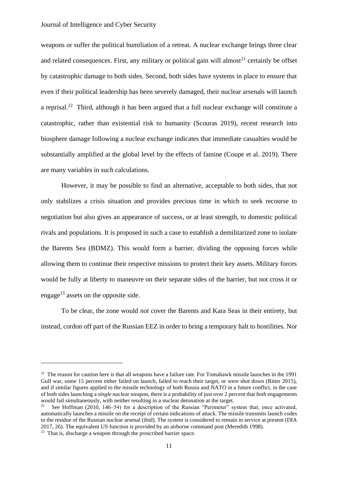## Journal of Intelligence and Cyber Security

weapons or suffer the political humiliation of a retreat. A nuclear exchange brings three clear and related consequences. First, any military or political gain will almost<sup>21</sup> certainly be offset by catastrophic damage to both sides. Second, both sides have systems in place to ensure that even if their political leadership has been severely damaged, their nuclear arsenals will launch a reprisal.<sup>22</sup> Third, although it has been argued that a full nuclear exchange will constitute a catastrophic, rather than existential risk to humanity (Scouras 2019), recent research into biosphere damage following a nuclear exchange indicates that immediate casualties would be substantially amplified at the global level by the effects of famine (Coupe et al. 2019). There are many variables in such calculations.

However, it may be possible to find an alternative, acceptable to both sides, that not only stabilizes a crisis situation and provides precious time in which to seek recourse to negotiation but also gives an appearance of success, or at least strength, to domestic political rivals and populations. It is proposed in such a case to establish a demilitarized zone to isolate the Barents Sea (BDMZ). This would form a barrier, dividing the opposing forces while allowing them to continue their respective missions to protect their key assets. Military forces would be fully at liberty to maneuvre on their separate sides of the barrier, but not cross it or engage<sup>23</sup> assets on the opposite side.

To be clear, the zone would *not* cover the Barents and Kara Seas in their entirety, but instead, cordon off part of the Russian EEZ in order to bring a temporary halt to hostilities. Nor

<sup>&</sup>lt;sup>21</sup> The reason for caution here is that all weapons have a failure rate. For Tomahawk missile launches in the 1991 Gulf war, some 15 percent either failed on launch, failed to reach their target, or were shot down (Ritter 2015), and if similar figures applied to the missile technology of both Russia and NATO in a future conflict, in the case of both sides launching a *single* nuclear weapon, there is a probability of just over 2 percent that *both* engagements would fail simultaneously, with neither resulting in a nuclear detonation at the target.

<sup>22</sup> See Hoffman (2010, 146–54) for a description of the Russian "Perimeter" system that, once activated, automatically launches a missile on the receipt of certain indications of attack. The missile transmits launch codes to the residue of the Russian nuclear arsenal (ibid). The system is considered to remain in service at present (DIA 2017, 26). The equivalent US function is provided by an airborne command post (Meredith 1998).

<sup>&</sup>lt;sup>23</sup> That is, discharge a weapon through the proscribed barrier space.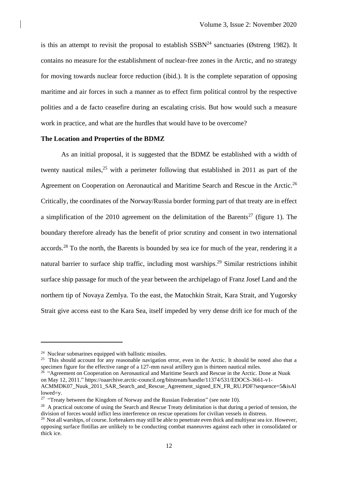is this an attempt to revisit the proposal to establish  $SSBN<sup>24</sup>$  sanctuaries (Østreng 1982). It contains no measure for the establishment of nuclear-free zones in the Arctic, and no strategy for moving towards nuclear force reduction (ibid.). It is the complete separation of opposing maritime and air forces in such a manner as to effect firm political control by the respective polities and a de facto ceasefire during an escalating crisis. But how would such a measure work in practice, and what are the hurdles that would have to be overcome?

### **The Location and Properties of the BDMZ**

As an initial proposal, it is suggested that the BDMZ be established with a width of twenty nautical miles,  $25$  with a perimeter following that established in 2011 as part of the Agreement on Cooperation on Aeronautical and Maritime Search and Rescue in the Arctic.<sup>26</sup> Critically, the coordinates of the Norway/Russia border forming part of that treaty are in effect a simplification of the 2010 agreement on the delimitation of the Barents<sup>27</sup> (figure 1). The boundary therefore already has the benefit of prior scrutiny and consent in two international accords.<sup>28</sup> To the north, the Barents is bounded by sea ice for much of the year, rendering it a natural barrier to surface ship traffic, including most warships.<sup>29</sup> Similar restrictions inhibit surface ship passage for much of the year between the archipelago of Franz Josef Land and the northern tip of Novaya Zemlya. To the east, the Matochkin Strait, Kara Strait, and Yugorsky Strait give access east to the Kara Sea, itself impeded by very dense drift ice for much of the

<sup>25</sup> This should account for any reasonable navigation error, even in the Arctic. It should be noted also that a specimen figure for the effective range of a 127-mm naval artillery gun is thirteen nautical miles.<br><sup>26</sup> "Agreement on Cooperation on Aeronautical and Maritime Search and Rescue in the Arctic. Done at Nuuk

 $24$  Nuclear submarines equipped with ballistic missiles.

on May 12, 2011." https://oaarchive.arctic-council.org/bitstream/handle/11374/531/EDOCS-3661-v1-

ACMMDK07\_Nuuk\_2011\_SAR\_Search\_and\_Rescue\_Agreement\_signed\_EN\_FR\_RU.PDF?sequence=5&isAl lowed=y.

<sup>&</sup>lt;sup>27</sup> "Treaty between the Kingdom of Norway and the Russian Federation" (see note 10).

<sup>&</sup>lt;sup>28</sup> A practical outcome of using the Search and Rescue Treaty delimitation is that during a period of tension, the division of forces would inflict less interference on rescue operations for civilian vessels in distress.

 $^{29}$  Not all warships, of course. Icebreakers may still be able to penetrate even thick and multiyear sea ice. However, opposing surface flotillas are unlikely to be conducting combat maneuvres against each other in consolidated or thick ice.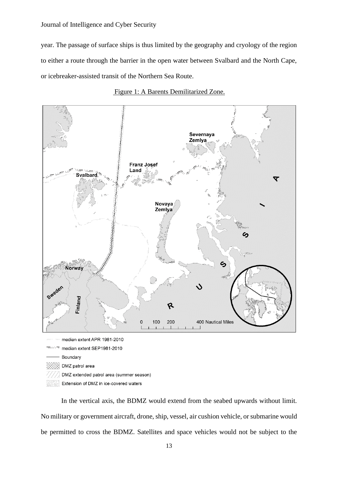Journal of Intelligence and Cyber Security

year. The passage of surface ships is thus limited by the geography and cryology of the region to either a route through the barrier in the open water between Svalbard and the North Cape, or icebreaker-assisted transit of the Northern Sea Route.





Boundary DMZ patrol area

- DMZ extended patrol area (summer season)
- Extension of DMZ in ice-covered waters

In the vertical axis, the BDMZ would extend from the seabed upwards without limit. No military or government aircraft, drone, ship, vessel, air cushion vehicle, or submarine would be permitted to cross the BDMZ. Satellites and space vehicles would not be subject to the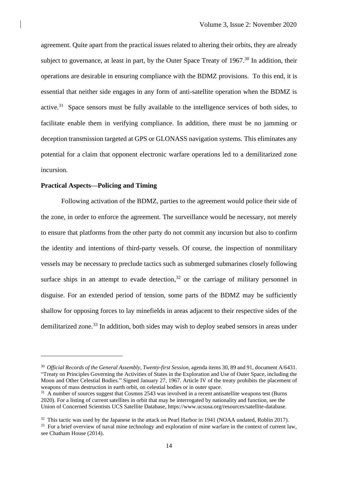agreement. Quite apart from the practical issues related to altering their orbits, they are already subject to governance, at least in part, by the Outer Space Treaty of  $1967$ <sup>30</sup> In addition, their operations are desirable in ensuring compliance with the BDMZ provisions. To this end, it is essential that neither side engages in any form of anti-satellite operation when the BDMZ is active.<sup>31</sup> Space sensors must be fully available to the intelligence services of both sides, to facilitate enable them in verifying compliance. In addition, there must be no jamming or deception transmission targeted at GPS or GLONASS navigation systems. This eliminates any potential for a claim that opponent electronic warfare operations led to a demilitarized zone incursion.

# **Practical Aspects—Policing and Timing**

Following activation of the BDMZ, parties to the agreement would police their side of the zone, in order to enforce the agreement. The surveillance would be necessary, not merely to ensure that platforms from the other party do not commit any incursion but also to confirm the identity and intentions of third-party vessels. Of course, the inspection of nonmilitary vessels may be necessary to preclude tactics such as submerged submarines closely following surface ships in an attempt to evade detection,  $32$  or the carriage of military personnel in disguise. For an extended period of tension, some parts of the BDMZ may be sufficiently shallow for opposing forces to lay minefields in areas adjacent to their respective sides of the demilitarized zone.<sup>33</sup> In addition, both sides may wish to deploy seabed sensors in areas under

<sup>30</sup> *Official Records of the General Assembly, Twenty-first Session*, agenda items 30, 89 and 91, document A/6431. "Treaty on Principles Governing the Activities of States in the Exploration and Use of Outer Space, including the Moon and Other Celestial Bodies." Signed January 27, 1967. Article IV of the treaty prohibits the placement of weapons of mass destruction in earth orbit, on celestial bodies or in outer space.

<sup>&</sup>lt;sup>31</sup> A number of sources suggest that Cosmos 2543 was involved in a recent antisatellite weapons test (Burns 2020). For a listing of current satellites in orbit that may be interrogated by nationality and function, see the Union of Concerned Scientists UCS Satellite Database, https://www.ucsusa.org/resources/satellite-database.

<sup>&</sup>lt;sup>32</sup> This tactic was used by the Japanese in the attack on Pearl Harbor in 1941 (NOAA undated, Roblin 2017).

<sup>&</sup>lt;sup>33</sup> For a brief overview of naval mine technology and exploration of mine warfare in the context of current law, see Chatham House (2014).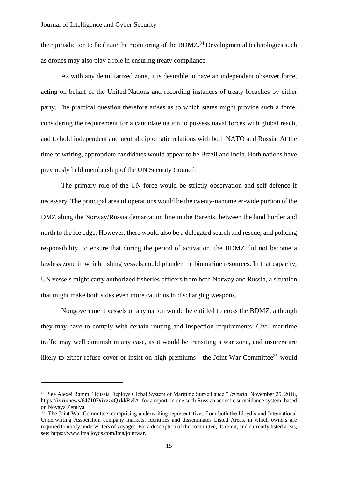their jurisdiction to facilitate the monitoring of the BDMZ.<sup>34</sup> Developmental technologies such as drones may also play a role in ensuring treaty compliance.

As with any demilitarized zone, it is desirable to have an independent observer force, acting on behalf of the United Nations and recording instances of treaty breaches by either party. The practical question therefore arises as to which states might provide such a force, considering the requirement for a candidate nation to possess naval forces with global reach, and to hold independent and neutral diplomatic relations with both NATO and Russia. At the time of writing, appropriate candidates would appear to be Brazil and India. Both nations have previously held membership of the UN Security Council.

The primary role of the UN force would be strictly observation and self-defence if necessary. The principal area of operations would be the twenty-nanometer-wide portion of the DMZ along the Norway/Russia demarcation line in the Barents, between the land border and north to the ice edge. However, there would also be a delegated search and rescue, and policing responsibility, to ensure that during the period of activation, the BDMZ did not become a lawless zone in which fishing vessels could plunder the biomarine resources. In that capacity, UN vessels might carry authorized fisheries officers from both Norway and Russia, a situation that might make both sides even more cautious in discharging weapons.

Nongovernment vessels of any nation would be entitled to cross the BDMZ, although they may have to comply with certain routing and inspection requirements. Civil maritime traffic may well diminish in any case, as it would be transiting a war zone, and insurers are likely to either refuse cover or insist on high premiums—the Joint War Committee<sup>35</sup> would

<sup>34</sup> See Alexei Ramm, "Russia Deploys Global System of Maritime Surveillance," *Izvestia*, November 25, 2016, https://iz.ru/news/647107#ixzz4QxkkRvIA, for a report on one such Russian acoustic surveillance system, based on Novaya Zemlya.

<sup>&</sup>lt;sup>35</sup> The Joint War Committee, comprising underwriting representatives from both the Lloyd's and International Underwriting Association company markets, identifies and disseminates Listed Areas, in which owners are required to notify underwriters of voyages. For a description of the committee, its remit, and currently listed areas, see: https://www.lmalloyds.com/lma/jointwar.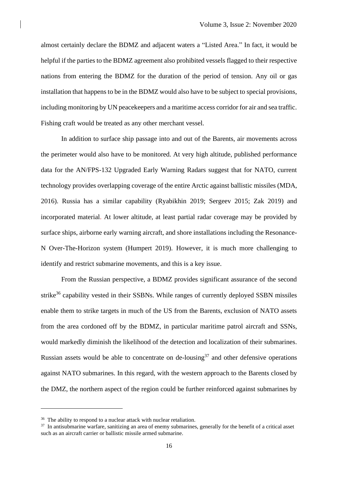almost certainly declare the BDMZ and adjacent waters a "Listed Area." In fact, it would be helpful if the parties to the BDMZ agreement also prohibited vessels flagged to their respective nations from entering the BDMZ for the duration of the period of tension. Any oil or gas installation that happens to be in the BDMZ would also have to be subject to special provisions, including monitoring by UN peacekeepers and a maritime access corridor for air and sea traffic. Fishing craft would be treated as any other merchant vessel.

In addition to surface ship passage into and out of the Barents, air movements across the perimeter would also have to be monitored. At very high altitude, published performance data for the AN/FPS-132 Upgraded Early Warning Radars suggest that for NATO, current technology provides overlapping coverage of the entire Arctic against ballistic missiles (MDA, 2016). Russia has a similar capability (Ryabikhin 2019; Sergeev 2015; Zak 2019) and incorporated material. At lower altitude, at least partial radar coverage may be provided by surface ships, airborne early warning aircraft, and shore installations including the Resonance-N Over-The-Horizon system (Humpert 2019). However, it is much more challenging to identify and restrict submarine movements, and this is a key issue.

From the Russian perspective, a BDMZ provides significant assurance of the second strike<sup>36</sup> capability vested in their SSBNs. While ranges of currently deployed SSBN missiles enable them to strike targets in much of the US from the Barents, exclusion of NATO assets from the area cordoned off by the BDMZ, in particular maritime patrol aircraft and SSNs, would markedly diminish the likelihood of the detection and localization of their submarines. Russian assets would be able to concentrate on de-lousing<sup>37</sup> and other defensive operations against NATO submarines. In this regard, with the western approach to the Barents closed by the DMZ, the northern aspect of the region could be further reinforced against submarines by

 $36$  The ability to respond to a nuclear attack with nuclear retaliation.

<sup>&</sup>lt;sup>37</sup> In antisubmarine warfare, sanitizing an area of enemy submarines, generally for the benefit of a critical asset such as an aircraft carrier or ballistic missile armed submarine.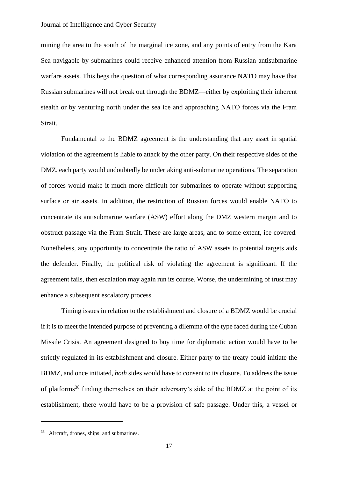### Journal of Intelligence and Cyber Security

mining the area to the south of the marginal ice zone, and any points of entry from the Kara Sea navigable by submarines could receive enhanced attention from Russian antisubmarine warfare assets. This begs the question of what corresponding assurance NATO may have that Russian submarines will not break out through the BDMZ—either by exploiting their inherent stealth or by venturing north under the sea ice and approaching NATO forces via the Fram Strait.

Fundamental to the BDMZ agreement is the understanding that any asset in spatial violation of the agreement is liable to attack by the other party. On their respective sides of the DMZ, each party would undoubtedly be undertaking anti-submarine operations. The separation of forces would make it much more difficult for submarines to operate without supporting surface or air assets. In addition, the restriction of Russian forces would enable NATO to concentrate its antisubmarine warfare (ASW) effort along the DMZ western margin and to obstruct passage via the Fram Strait. These are large areas, and to some extent, ice covered. Nonetheless, any opportunity to concentrate the ratio of ASW assets to potential targets aids the defender. Finally, the political risk of violating the agreement is significant. If the agreement fails, then escalation may again run its course. Worse, the undermining of trust may enhance a subsequent escalatory process.

Timing issues in relation to the establishment and closure of a BDMZ would be crucial if it is to meet the intended purpose of preventing a dilemma of the type faced during the Cuban Missile Crisis. An agreement designed to buy time for diplomatic action would have to be strictly regulated in its establishment and closure. Either party to the treaty could initiate the BDMZ, and once initiated, *both* sides would have to consent to its closure. To address the issue of platforms<sup>38</sup> finding themselves on their adversary's side of the BDMZ at the point of its establishment, there would have to be a provision of safe passage. Under this, a vessel or

<sup>38</sup> Aircraft, drones, ships, and submarines.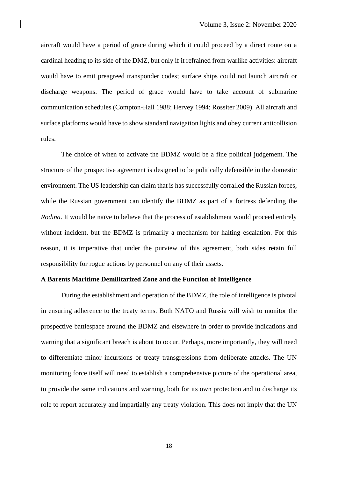aircraft would have a period of grace during which it could proceed by a direct route on a cardinal heading to its side of the DMZ, but only if it refrained from warlike activities: aircraft would have to emit preagreed transponder codes; surface ships could not launch aircraft or discharge weapons. The period of grace would have to take account of submarine communication schedules (Compton-Hall 1988; Hervey 1994; Rossiter 2009). All aircraft and surface platforms would have to show standard navigation lights and obey current anticollision rules.

The choice of when to activate the BDMZ would be a fine political judgement. The structure of the prospective agreement is designed to be politically defensible in the domestic environment. The US leadership can claim that is has successfully corralled the Russian forces, while the Russian government can identify the BDMZ as part of a fortress defending the *Rodina*. It would be naïve to believe that the process of establishment would proceed entirely without incident, but the BDMZ is primarily a mechanism for halting escalation. For this reason, it is imperative that under the purview of this agreement, both sides retain full responsibility for rogue actions by personnel on any of their assets.

#### **A Barents Maritime Demilitarized Zone and the Function of Intelligence**

During the establishment and operation of the BDMZ, the role of intelligence is pivotal in ensuring adherence to the treaty terms. Both NATO and Russia will wish to monitor the prospective battlespace around the BDMZ and elsewhere in order to provide indications and warning that a significant breach is about to occur. Perhaps, more importantly, they will need to differentiate minor incursions or treaty transgressions from deliberate attacks. The UN monitoring force itself will need to establish a comprehensive picture of the operational area, to provide the same indications and warning, both for its own protection and to discharge its role to report accurately and impartially any treaty violation. This does not imply that the UN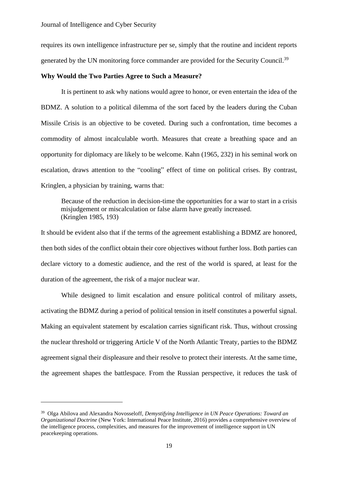requires its own intelligence infrastructure per se, simply that the routine and incident reports generated by the UN monitoring force commander are provided for the Security Council.<sup>39</sup>

## **Why Would the Two Parties Agree to Such a Measure?**

It is pertinent to ask why nations would agree to honor, or even entertain the idea of the BDMZ. A solution to a political dilemma of the sort faced by the leaders during the Cuban Missile Crisis is an objective to be coveted. During such a confrontation, time becomes a commodity of almost incalculable worth. Measures that create a breathing space and an opportunity for diplomacy are likely to be welcome. Kahn (1965, 232) in his seminal work on escalation, draws attention to the "cooling" effect of time on political crises. By contrast, Kringlen, a physician by training, warns that:

Because of the reduction in decision-time the opportunities for a war to start in a crisis misjudgement or miscalculation or false alarm have greatly increased. (Kringlen 1985, 193)

It should be evident also that if the terms of the agreement establishing a BDMZ are honored, then both sides of the conflict obtain their core objectives without further loss. Both parties can declare victory to a domestic audience, and the rest of the world is spared, at least for the duration of the agreement, the risk of a major nuclear war.

While designed to limit escalation and ensure political control of military assets, activating the BDMZ during a period of political tension in itself constitutes a powerful signal. Making an equivalent statement by escalation carries significant risk. Thus, without crossing the nuclear threshold or triggering Article V of the North Atlantic Treaty, parties to the BDMZ agreement signal their displeasure and their resolve to protect their interests. At the same time, the agreement shapes the battlespace. From the Russian perspective, it reduces the task of

<sup>39</sup> Olga Abilova and Alexandra Novosseloff, *Demystifying Intelligence in UN Peace Operations: Toward an Organizational Doctrine* (New York: International Peace Institute, 2016) provides a comprehensive overview of the intelligence process, complexities, and measures for the improvement of intelligence support in UN peacekeeping operations.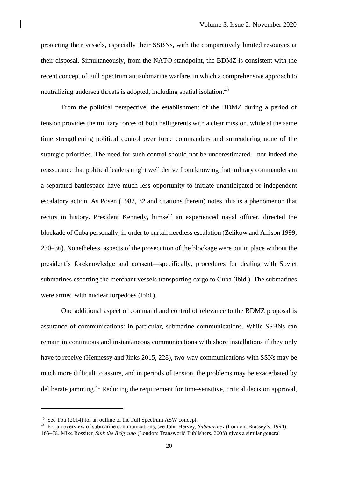protecting their vessels, especially their SSBNs, with the comparatively limited resources at their disposal. Simultaneously, from the NATO standpoint, the BDMZ is consistent with the recent concept of Full Spectrum antisubmarine warfare, in which a comprehensive approach to neutralizing undersea threats is adopted, including spatial isolation. 40

From the political perspective, the establishment of the BDMZ during a period of tension provides the military forces of both belligerents with a clear mission, while at the same time strengthening political control over force commanders and surrendering none of the strategic priorities. The need for such control should not be underestimated—nor indeed the reassurance that political leaders might well derive from knowing that military commanders in a separated battlespace have much less opportunity to initiate unanticipated or independent escalatory action. As Posen (1982, 32 and citations therein) notes, this is a phenomenon that recurs in history. President Kennedy, himself an experienced naval officer, directed the blockade of Cuba personally, in order to curtail needless escalation (Zelikow and Allison 1999, 230–36). Nonetheless, aspects of the prosecution of the blockage were put in place without the president's foreknowledge and consent—specifically, procedures for dealing with Soviet submarines escorting the merchant vessels transporting cargo to Cuba (ibid.). The submarines were armed with nuclear torpedoes (ibid.).

One additional aspect of command and control of relevance to the BDMZ proposal is assurance of communications: in particular, submarine communications. While SSBNs can remain in continuous and instantaneous communications with shore installations if they only have to receive (Hennessy and Jinks 2015, 228), two-way communications with SSNs may be much more difficult to assure, and in periods of tension, the problems may be exacerbated by deliberate jamming.<sup>41</sup> Reducing the requirement for time-sensitive, critical decision approval,

<sup>40</sup> See Toti (2014) for an outline of the Full Spectrum ASW concept.

<sup>41</sup> For an overview of submarine communications, see John Hervey, *Submarines* (London: Brassey's, 1994), 163–78. Mike Rossiter, *Sink the Belgrano* (London: Transworld Publishers, 2008) gives a similar general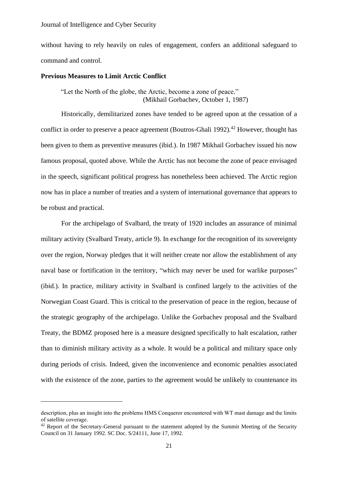without having to rely heavily on rules of engagement, confers an additional safeguard to command and control.

### **Previous Measures to Limit Arctic Conflict**

"Let the North of the globe, the Arctic, become a zone of peace." (Mikhail Gorbachev, October 1, 1987)

Historically, demilitarized zones have tended to be agreed upon at the cessation of a conflict in order to preserve a peace agreement (Boutros-Ghali 1992).<sup>42</sup> However, thought has been given to them as preventive measures (ibid.). In 1987 Mikhail Gorbachev issued his now famous proposal, quoted above. While the Arctic has not become the zone of peace envisaged in the speech, significant political progress has nonetheless been achieved. The Arctic region now has in place a number of treaties and a system of international governance that appears to be robust and practical.

For the archipelago of Svalbard, the treaty of 1920 includes an assurance of minimal military activity (Svalbard Treaty, article 9). In exchange for the recognition of its sovereignty over the region, Norway pledges that it will neither create nor allow the establishment of any naval base or fortification in the territory, "which may never be used for warlike purposes" (ibid.). In practice, military activity in Svalbard is confined largely to the activities of the Norwegian Coast Guard. This is critical to the preservation of peace in the region, because of the strategic geography of the archipelago. Unlike the Gorbachev proposal and the Svalbard Treaty, the BDMZ proposed here is a measure designed specifically to halt escalation, rather than to diminish military activity as a whole. It would be a political and military space only during periods of crisis. Indeed, given the inconvenience and economic penalties associated with the existence of the zone, parties to the agreement would be unlikely to countenance its

description, plus an insight into the problems HMS Conqueror encountered with WT mast damage and the limits of satellite coverage.

<sup>&</sup>lt;sup>42</sup> Report of the Secretary-General pursuant to the statement adopted by the Summit Meeting of the Security Council on 31 January 1992. SC Doc. S/24111, June 17, 1992.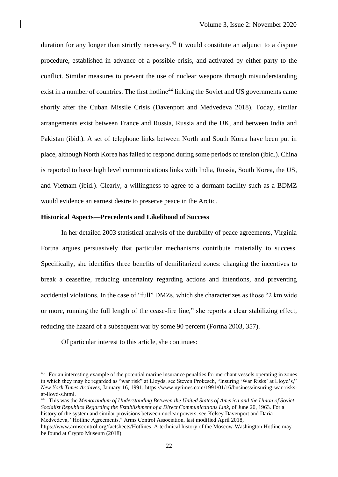duration for any longer than strictly necessary.<sup>43</sup> It would constitute an adjunct to a dispute procedure, established in advance of a possible crisis, and activated by either party to the conflict. Similar measures to prevent the use of nuclear weapons through misunderstanding exist in a number of countries. The first hotline<sup>44</sup> linking the Soviet and US governments came shortly after the Cuban Missile Crisis (Davenport and Medvedeva 2018). Today, similar arrangements exist between France and Russia, Russia and the UK, and between India and Pakistan (ibid.). A set of telephone links between North and South Korea have been put in place, although North Korea has failed to respond during some periods of tension (ibid.). China is reported to have high level communications links with India, Russia, South Korea, the US, and Vietnam (ibid.). Clearly, a willingness to agree to a dormant facility such as a BDMZ would evidence an earnest desire to preserve peace in the Arctic.

# **Historical Aspects—Precedents and Likelihood of Success**

In her detailed 2003 statistical analysis of the durability of peace agreements, Virginia Fortna argues persuasively that particular mechanisms contribute materially to success. Specifically, she identifies three benefits of demilitarized zones: changing the incentives to break a ceasefire, reducing uncertainty regarding actions and intentions, and preventing accidental violations. In the case of "full" DMZs, which she characterizes as those "2 km wide or more, running the full length of the cease-fire line," she reports a clear stabilizing effect, reducing the hazard of a subsequent war by some 90 percent (Fortna 2003, 357).

Of particular interest to this article, she continues:

44 This was the *Memorandum of Understanding Between the United States of America and the Union of Soviet Socialist Republics Regarding the Establishment of a Direct Communications Link*, of June 20, 1963. For a history of the system and similar provisions between nuclear powers, see Kelsey Davenport and Daria Medvedeva, "Hotline Agreements," Arms Control Association, last modified April 2018,

<sup>&</sup>lt;sup>43</sup> For an interesting example of the potential marine insurance penalties for merchant vessels operating in zones in which they may be regarded as "war risk" at Lloyds, see Steven Prokesch, "Insuring 'War Risks' at Lloyd's," *New York Times Archives*, January 16, 1991, [https://www.nytimes.com/1991/01/16/business/insuring-war-risks](https://www.nytimes.com/1991/01/16/business/insuring-war-risks-at-lloyd-s.html)[at-lloyd-s.html.](https://www.nytimes.com/1991/01/16/business/insuring-war-risks-at-lloyd-s.html)

[https://www.armscontrol.org/factsheets/Hotlines.](https://www.armscontrol.org/factsheets/Hotlines) A technical history of the Moscow-Washington Hotline may be found at Crypto Museum (2018).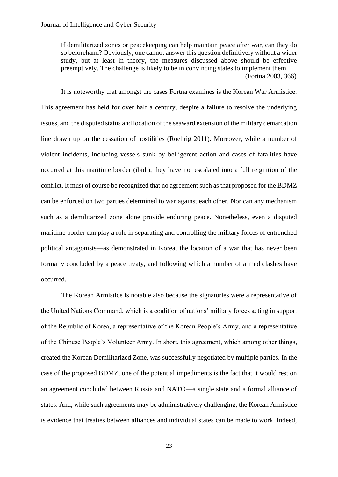If demilitarized zones or peacekeeping can help maintain peace after war, can they do so beforehand? Obviously, one cannot answer this question definitively without a wider study, but at least in theory, the measures discussed above should be effective preemptively. The challenge is likely to be in convincing states to implement them. (Fortna 2003, 366)

It is noteworthy that amongst the cases Fortna examines is the Korean War Armistice. This agreement has held for over half a century, despite a failure to resolve the underlying issues, and the disputed status and location of the seaward extension of the military demarcation line drawn up on the cessation of hostilities (Roehrig 2011). Moreover, while a number of violent incidents, including vessels sunk by belligerent action and cases of fatalities have occurred at this maritime border (ibid.), they have not escalated into a full reignition of the conflict. It must of course be recognized that no agreement such as that proposed for the BDMZ can be enforced on two parties determined to war against each other. Nor can any mechanism such as a demilitarized zone alone provide enduring peace. Nonetheless, even a disputed maritime border can play a role in separating and controlling the military forces of entrenched political antagonists—as demonstrated in Korea, the location of a war that has never been formally concluded by a peace treaty, and following which a number of armed clashes have occurred.

The Korean Armistice is notable also because the signatories were a representative of the United Nations Command, which is a coalition of nations' military forces acting in support of the Republic of Korea, a representative of the Korean People's Army, and a representative of the Chinese People's Volunteer Army. In short, this agreement, which among other things, created the Korean Demilitarized Zone, was successfully negotiated by multiple parties. In the case of the proposed BDMZ, one of the potential impediments is the fact that it would rest on an agreement concluded between Russia and NATO—a single state and a formal alliance of states. And, while such agreements may be administratively challenging, the Korean Armistice is evidence that treaties between alliances and individual states can be made to work. Indeed,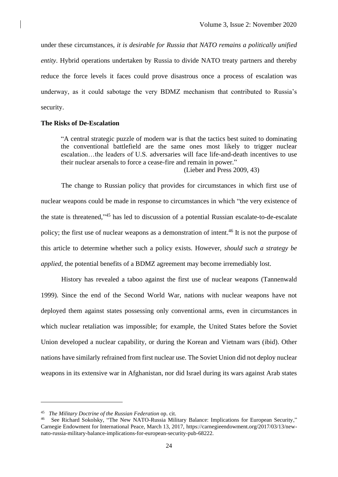under these circumstances, *it is desirable for Russia that NATO remains a politically unified entity*. Hybrid operations undertaken by Russia to divide NATO treaty partners and thereby reduce the force levels it faces could prove disastrous once a process of escalation was underway, as it could sabotage the very BDMZ mechanism that contributed to Russia's security.

## **The Risks of De-Escalation**

"A central strategic puzzle of modern war is that the tactics best suited to dominating the conventional battlefield are the same ones most likely to trigger nuclear escalation…the leaders of U.S. adversaries will face life-and-death incentives to use their nuclear arsenals to force a cease-fire and remain in power."

(Lieber and Press 2009, 43)

The change to Russian policy that provides for circumstances in which first use of nuclear weapons could be made in response to circumstances in which "the very existence of the state is threatened," <sup>45</sup> has led to discussion of a potential Russian escalate-to-de-escalate policy; the first use of nuclear weapons as a demonstration of intent.<sup>46</sup> It is not the purpose of this article to determine whether such a policy exists. However, *should such a strategy be applied*, the potential benefits of a BDMZ agreement may become irremediably lost.

History has revealed a taboo against the first use of nuclear weapons (Tannenwald 1999). Since the end of the Second World War, nations with nuclear weapons have not deployed them against states possessing only conventional arms, even in circumstances in which nuclear retaliation was impossible; for example, the United States before the Soviet Union developed a nuclear capability, or during the Korean and Vietnam wars (ibid). Other nations have similarly refrained from first nuclear use. The Soviet Union did not deploy nuclear weapons in its extensive war in Afghanistan, nor did Israel during its wars against Arab states

<sup>45</sup> *The Military Doctrine of the Russian Federation* op. cit.

<sup>&</sup>lt;sup>46</sup> See Richard Sokolsky, "The New NATO-Russia Military Balance: Implications for European Security," Carnegie Endowment for International Peace, March 13, 2017, https://carnegieendowment.org/2017/03/13/newnato-russia-military-balance-implications-for-european-security-pub-68222.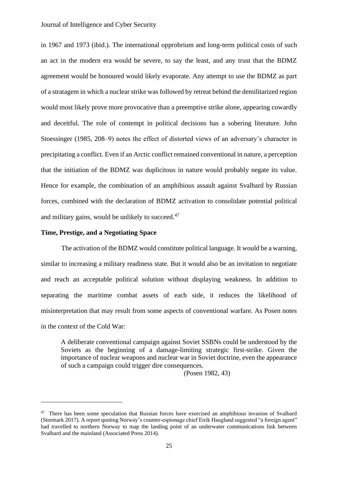in 1967 and 1973 (ibid.). The international opprobrium and long-term political costs of such an act in the modern era would be severe, to say the least, and any trust that the BDMZ agreement would be honoured would likely evaporate. Any attempt to use the BDMZ as part of a stratagem in which a nuclear strike was followed by retreat behind the demilitarized region would most likely prove more provocative than a preemptive strike alone, appearing cowardly and deceitful. The role of contempt in political decisions has a sobering literature. John Stoessinger (1985, 208–9) notes the effect of distorted views of an adversary's character in precipitating a conflict. Even if an Arctic conflict remained conventional in nature, a perception that the initiation of the BDMZ was duplicitous in nature would probably negate its value. Hence for example, the combination of an amphibious assault against Svalbard by Russian forces, combined with the declaration of BDMZ activation to consolidate potential political and military gains, would be unlikely to succeed.<sup>47</sup>

## **Time, Prestige, and a Negotiating Space**

The activation of the BDMZ would constitute political language. It would be a warning, similar to increasing a military readiness state. But it would also be an invitation to negotiate and reach an acceptable political solution without displaying weakness. In addition to separating the maritime combat assets of each side, it reduces the likelihood of misinterpretation that may result from some aspects of conventional warfare. As Posen notes in the context of the Cold War:

A deliberate conventional campaign against Soviet SSBNs could be understood by the Soviets as the beginning of a damage-limiting strategic first-strike. Given the importance of nuclear weapons and nuclear war in Soviet doctrine, even the appearance of such a campaign could trigger dire consequences.

(Posen 1982, 43)

<sup>&</sup>lt;sup>47</sup> There has been some speculation that Russian forces have exercised an amphibious invasion of Svalbard (Stormark 2017). A report quoting Norway's counter-espionage chief Eirik Haugland suggested "a foreign agent" had travelled to northern Norway to map the landing point of an underwater communications link between Svalbard and the mainland (Associated Press 2014).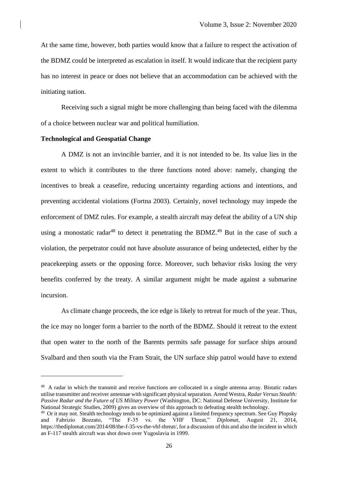At the same time, however, both parties would know that a failure to respect the activation of the BDMZ could be interpreted as escalation in itself. It would indicate that the recipient party has no interest in peace or does not believe that an accommodation can be achieved with the initiating nation.

Receiving such a signal might be more challenging than being faced with the dilemma of a choice between nuclear war and political humiliation.

### **Technological and Geospatial Change**

A DMZ is not an invincible barrier, and it is not intended to be. Its value lies in the extent to which it contributes to the three functions noted above: namely, changing the incentives to break a ceasefire, reducing uncertainty regarding actions and intentions, and preventing accidental violations (Fortna 2003). Certainly, novel technology may impede the enforcement of DMZ rules. For example, a stealth aircraft may defeat the ability of a UN ship using a monostatic radar<sup>48</sup> to detect it penetrating the BDMZ.<sup>49</sup> But in the case of such a violation, the perpetrator could not have absolute assurance of being undetected, either by the peacekeeping assets or the opposing force. Moreover, such behavior risks losing the very benefits conferred by the treaty. A similar argument might be made against a submarine incursion.

As climate change proceeds, the ice edge is likely to retreat for much of the year. Thus, the ice may no longer form a barrier to the north of the BDMZ. Should it retreat to the extent that open water to the north of the Barents permits safe passage for surface ships around Svalbard and then south via the Fram Strait, the UN surface ship patrol would have to extend

<sup>&</sup>lt;sup>48</sup> A radar in which the transmit and receive functions are collocated in a single antenna array. Bistatic radars utilise transmitter and receiver antennae with significant physical separation. Arend Westra, *Radar Versus Stealth: Passive Radar and the Future of US Military Power* (Washington, DC: National Defense University, Institute for National Strategic Studies, 2009) gives an overview of this approach to defeating stealth technology.

<sup>&</sup>lt;sup>49</sup> Or it may not. Stealth technology tends to be optimized against a limited frequency spectrum. See Guy Plopsky and Fabrizio Bozzato, "The F-35 vs. the VHF Threat," *Diplomat*, August 21, 2014, https://thediplomat.com/2014/08/the-f-35-vs-the-vhf-threat/, for a discussion of this and also the incident in which an F-117 stealth aircraft was shot down over Yugoslavia in 1999.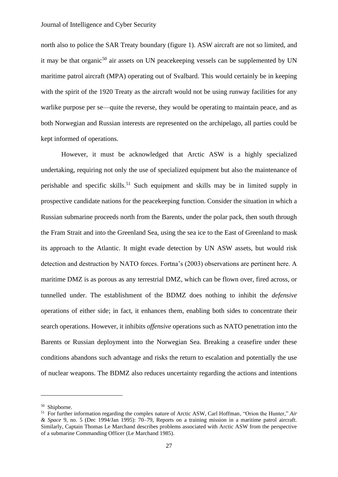north also to police the SAR Treaty boundary (figure 1). ASW aircraft are not so limited, and it may be that organic<sup>50</sup> air assets on UN peacekeeping vessels can be supplemented by UN maritime patrol aircraft (MPA) operating out of Svalbard. This would certainly be in keeping with the spirit of the 1920 Treaty as the aircraft would not be using runway facilities for any warlike purpose per se—quite the reverse, they would be operating to maintain peace, and as both Norwegian and Russian interests are represented on the archipelago, all parties could be kept informed of operations.

However, it must be acknowledged that Arctic ASW is a highly specialized undertaking, requiring not only the use of specialized equipment but also the maintenance of perishable and specific skills.<sup>51</sup> Such equipment and skills may be in limited supply in prospective candidate nations for the peacekeeping function. Consider the situation in which a Russian submarine proceeds north from the Barents, under the polar pack, then south through the Fram Strait and into the Greenland Sea, using the sea ice to the East of Greenland to mask its approach to the Atlantic. It might evade detection by UN ASW assets, but would risk detection and destruction by NATO forces. Fortna's (2003) observations are pertinent here. A maritime DMZ is as porous as any terrestrial DMZ, which can be flown over, fired across, or tunnelled under. The establishment of the BDMZ does nothing to inhibit the *defensive* operations of either side; in fact, it enhances them, enabling both sides to concentrate their search operations. However, it inhibits *offensive* operations such as NATO penetration into the Barents or Russian deployment into the Norwegian Sea. Breaking a ceasefire under these conditions abandons such advantage and risks the return to escalation and potentially the use of nuclear weapons. The BDMZ also reduces uncertainty regarding the actions and intentions

<sup>50</sup> Shipborne.

<sup>51</sup> For further information regarding the complex nature of Arctic ASW, Carl Hoffman, "Orion the Hunter," *Air & Space* 9, no. 5 (Dec 1994/Jan 1995): 70–79, Reports on a training mission in a maritime patrol aircraft. Similarly, Captain Thomas Le Marchand describes problems associated with Arctic ASW from the perspective of a submarine Commanding Officer (Le Marchand 1985).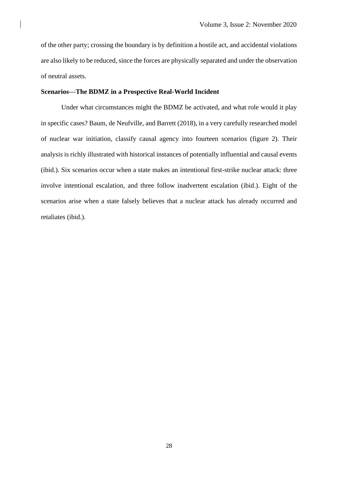of the other party; crossing the boundary is by definition a hostile act, and accidental violations are also likely to be reduced, since the forces are physically separated and under the observation of neutral assets.

## **Scenarios—The BDMZ in a Prospective Real-World Incident**

Under what circumstances might the BDMZ be activated, and what role would it play in specific cases? Baum, de Neufville, and Barrett (2018), in a very carefully researched model of nuclear war initiation, classify causal agency into fourteen scenarios (figure 2). Their analysis is richly illustrated with historical instances of potentially influential and causal events (ibid.). Six scenarios occur when a state makes an intentional first-strike nuclear attack: three involve intentional escalation, and three follow inadvertent escalation (ibid.). Eight of the scenarios arise when a state falsely believes that a nuclear attack has already occurred and retaliates (ibid.).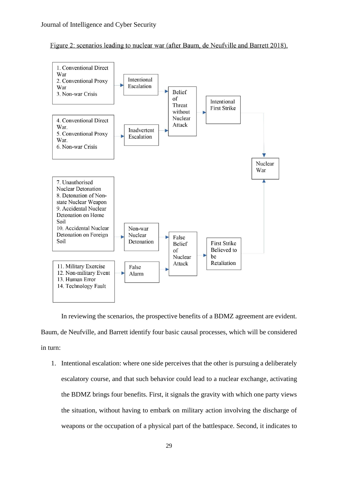



In reviewing the scenarios, the prospective benefits of a BDMZ agreement are evident. Baum, de Neufville, and Barrett identify four basic causal processes, which will be considered in turn:

1. Intentional escalation: where one side perceives that the other is pursuing a deliberately escalatory course, and that such behavior could lead to a nuclear exchange, activating the BDMZ brings four benefits. First, it signals the gravity with which one party views the situation, without having to embark on military action involving the discharge of weapons or the occupation of a physical part of the battlespace. Second, it indicates to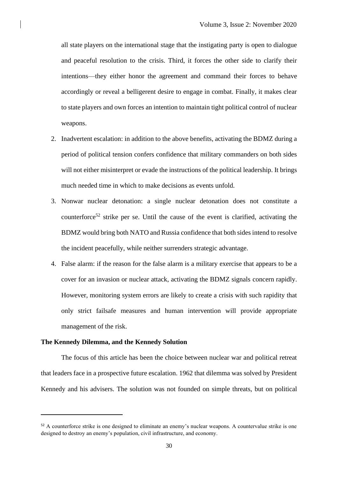all state players on the international stage that the instigating party is open to dialogue and peaceful resolution to the crisis. Third, it forces the other side to clarify their intentions—they either honor the agreement and command their forces to behave accordingly or reveal a belligerent desire to engage in combat. Finally, it makes clear to state players and own forces an intention to maintain tight political control of nuclear weapons.

- 2. Inadvertent escalation: in addition to the above benefits, activating the BDMZ during a period of political tension confers confidence that military commanders on both sides will not either misinterpret or evade the instructions of the political leadership. It brings much needed time in which to make decisions as events unfold.
- 3. Nonwar nuclear detonation: a single nuclear detonation does not constitute a counterforce<sup>52</sup> strike per se. Until the cause of the event is clarified, activating the BDMZ would bring both NATO and Russia confidence that both sides intend to resolve the incident peacefully, while neither surrenders strategic advantage.
- 4. False alarm: if the reason for the false alarm is a military exercise that appears to be a cover for an invasion or nuclear attack, activating the BDMZ signals concern rapidly. However, monitoring system errors are likely to create a crisis with such rapidity that only strict failsafe measures and human intervention will provide appropriate management of the risk.

### **The Kennedy Dilemma, and the Kennedy Solution**

The focus of this article has been the choice between nuclear war and political retreat that leaders face in a prospective future escalation. 1962 that dilemma was solved by President Kennedy and his advisers. The solution was not founded on simple threats, but on political

<sup>&</sup>lt;sup>52</sup> A counterforce strike is one designed to eliminate an enemy's nuclear weapons. A countervalue strike is one designed to destroy an enemy's population, civil infrastructure, and economy.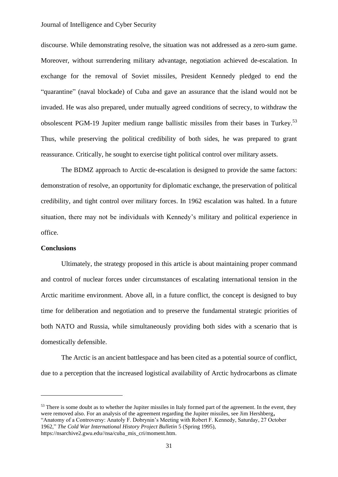### Journal of Intelligence and Cyber Security

discourse. While demonstrating resolve, the situation was not addressed as a zero-sum game. Moreover, without surrendering military advantage, negotiation achieved de-escalation. In exchange for the removal of Soviet missiles, President Kennedy pledged to end the "quarantine" (naval blockade) of Cuba and gave an assurance that the island would not be invaded. He was also prepared, under mutually agreed conditions of secrecy, to withdraw the obsolescent PGM-19 Jupiter medium range ballistic missiles from their bases in Turkey.<sup>53</sup> Thus, while preserving the political credibility of both sides, he was prepared to grant reassurance. Critically, he sought to exercise tight political control over military assets.

The BDMZ approach to Arctic de-escalation is designed to provide the same factors: demonstration of resolve, an opportunity for diplomatic exchange, the preservation of political credibility, and tight control over military forces. In 1962 escalation was halted. In a future situation, there may not be individuals with Kennedy's military and political experience in office.

#### **Conclusions**

Ultimately, the strategy proposed in this article is about maintaining proper command and control of nuclear forces under circumstances of escalating international tension in the Arctic maritime environment. Above all, in a future conflict, the concept is designed to buy time for deliberation and negotiation and to preserve the fundamental strategic priorities of both NATO and Russia, while simultaneously providing both sides with a scenario that is domestically defensible.

The Arctic is an ancient battlespace and has been cited as a potential source of conflict, due to a perception that the increased logistical availability of Arctic hydrocarbons as climate

<sup>&</sup>lt;sup>53</sup> There is some doubt as to whether the Jupiter missiles in Italy formed part of the agreement. In the event, they were removed also. For an analysis of the agreement regarding the Jupiter missiles, see Jim Hershberg**,**  "Anatomy of a Controversy: Anatoly F. Dobrynin's Meeting with Robert F. Kennedy, Saturday, 27 October 1962," *The Cold War International History Project Bulletin* 5 (Spring 1995), https://nsarchive2.gwu.edu//nsa/cuba\_mis\_cri/moment.htm.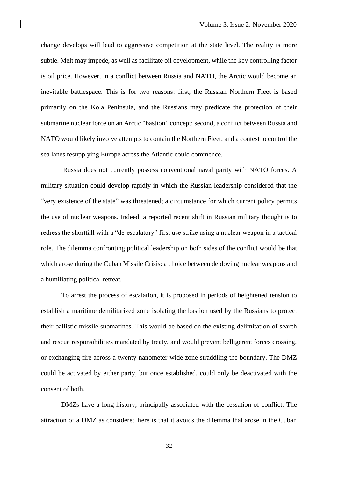change develops will lead to aggressive competition at the state level. The reality is more subtle. Melt may impede, as well as facilitate oil development, while the key controlling factor is oil price. However, in a conflict between Russia and NATO, the Arctic would become an inevitable battlespace. This is for two reasons: first, the Russian Northern Fleet is based primarily on the Kola Peninsula, and the Russians may predicate the protection of their submarine nuclear force on an Arctic "bastion" concept; second, a conflict between Russia and NATO would likely involve attempts to contain the Northern Fleet, and a contest to control the sea lanes resupplying Europe across the Atlantic could commence.

Russia does not currently possess conventional naval parity with NATO forces. A military situation could develop rapidly in which the Russian leadership considered that the "very existence of the state" was threatened; a circumstance for which current policy permits the use of nuclear weapons. Indeed, a reported recent shift in Russian military thought is to redress the shortfall with a "de-escalatory" first use strike using a nuclear weapon in a tactical role. The dilemma confronting political leadership on both sides of the conflict would be that which arose during the Cuban Missile Crisis: a choice between deploying nuclear weapons and a humiliating political retreat.

To arrest the process of escalation, it is proposed in periods of heightened tension to establish a maritime demilitarized zone isolating the bastion used by the Russians to protect their ballistic missile submarines. This would be based on the existing delimitation of search and rescue responsibilities mandated by treaty, and would prevent belligerent forces crossing, or exchanging fire across a twenty-nanometer-wide zone straddling the boundary. The DMZ could be activated by either party, but once established, could only be deactivated with the consent of both.

DMZs have a long history, principally associated with the cessation of conflict. The attraction of a DMZ as considered here is that it avoids the dilemma that arose in the Cuban

32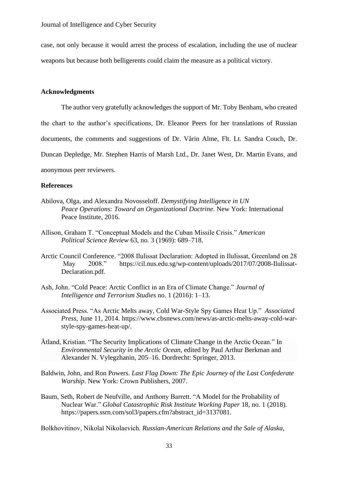case, not only because it would arrest the process of escalation, including the use of nuclear weapons but because both belligerents could claim the measure as a political victory.

# **Acknowledgments**

The author very gratefully acknowledges the support of Mr. Toby Benham, who created

the chart to the author's specifications, Dr. Eleanor Peers for her translations of Russian

documents, the comments and suggestions of Dr. Vårin Alme, Flt. Lt. Sandra Couch, Dr.

Duncan Depledge, Mr. Stephen Harris of Marsh Ltd., Dr. Janet West, Dr. Martin Evans, and

anonymous peer reviewers.

# **References**

- Abilova, Olga, and Alexandra Novosseloff. *Demystifying Intelligence in UN Peace Operations: Toward an Organizational Doctrine*. New York: International Peace Institute, 2016.
- Allison, Graham T. "Conceptual Models and the Cuban Missile Crisis." *American Political Science Review* 63, no. 3 (1969): 689–718.
- Arctic Council Conference. "2008 Ilulissat Declaration: Adopted in Ilulissat, Greenland on 28 May 2008." https://cil.nus.edu.sg/wp-content/uploads/2017/07/2008-Ilulissat-Declaration.pdf.
- Ash, John. "Cold Peace: Arctic Conflict in an Era of Climate Change." *Journal of Intelligence and Terrorism Studies* no. 1 (2016): 1–13.
- Associated Press. "As Arctic Melts away, Cold War-Style Spy Games Heat Up." *Associated Press*, June 11, 2014. https://www.cbsnews.com/news/as-arctic-melts-away-cold-warstyle-spy-games-heat-up/.
- Åtland, Kristian. "The Security Implications of Climate Change in the Arctic Ocean." In *Environmental Security in the Arctic Ocean*, edited by Paul Arthur Berkman and Alexander N. Vylegzhanin, 205–16. Dordrecht: Springer, 2013.
- Baldwin, John, and Ron Powers. *Last Flag Down: The Epic Journey of the Last Confederate Warship*. New York: Crown Publishers, 2007.
- Baum, Seth, Robert de Neufville, and Anthony Barrett. "A Model for the Probability of Nuclear War." *Global Catastrophic Risk Institute Working Paper* 18, no. 1 (2018). https://papers.ssrn.com/sol3/papers.cfm?abstract\_id=3137081.

Bolkhovitinov, Nikolaĭ Nikolaevich. *Russian-American Relations and the Sale of Alaska,*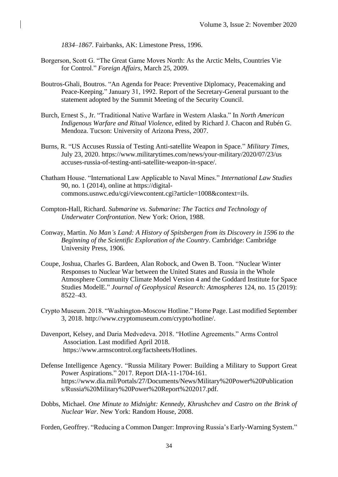*1834–1867*. Fairbanks, AK: Limestone Press, 1996.

- Borgerson, Scott G. "The Great Game Moves North: As the Arctic Melts, Countries Vie for Control." *Foreign Affairs*, March 25, 2009.
- Boutros-Ghali, Boutros. "An Agenda for Peace: Preventive Diplomacy, Peacemaking and Peace-Keeping." January 31, 1992. Report of the Secretary-General pursuant to the statement adopted by the Summit Meeting of the Security Council.
- Burch, Ernest S., Jr. "Traditional Native Warfare in Western Alaska." In *North American Indigenous Warfare and Ritual Violence*, edited by Richard J. Chacon and Rubén G. Mendoza. Tucson: University of Arizona Press, 2007.
- Burns, R. "US Accuses Russia of Testing Anti-satellite Weapon in Space." *Military Times*, July 23, 2020. https://www.militarytimes.com/news/your-military/2020/07/23/us accuses-russia-of-testing-anti-satellite-weapon-in-space/.
- Chatham House. "International Law Applicable to Naval Mines." *International Law Studies* 90, no. 1 (2014), online at [https://digital](https://digital-/)commons.usnwc.edu/cgi/viewcontent.cgi?article=1008&context=ils.
- Compton-Hall, Richard. *Submarine vs. Submarine: The Tactics and Technology of Underwater Confrontation*. New York: Orion, 1988.
- Conway, Martin. *No Man's Land: A History of Spitsbergen from its Discovery in 1596 to the Beginning of the Scientific Exploration of the Country*. Cambridge: Cambridge University Press, 1906.
- Coupe, Joshua, Charles G. Bardeen, Alan Robock, and Owen B. Toon. "Nuclear Winter Responses to Nuclear War between the United States and Russia in the Whole Atmosphere Community Climate Model Version 4 and the Goddard Institute for Space Studies ModelE." *Journal of Geophysical Research: Atmospheres* 124, no. 15 (2019): 8522–43.
- Crypto Museum. 2018. "Washington-Moscow Hotline." Home Page. Last modified September 3, 2018. http://www.cryptomuseum.com/crypto/hotline/.
- Davenport, Kelsey, and Daria Medvedeva. 2018. "Hotline Agreements." Arms Control Association. Last modified April 2018. https://www.armscontrol.org/factsheets/Hotlines.
- Defense Intelligence Agency. "Russia Military Power: Building a Military to Support Great Power Aspirations." 2017. Report DIA-11-1704-161. <https://www.dia.mil/Portals/27/Documents/News/Military%20Power%20Publication> s/Russia%20Military%20Power%20Report%202017.pdf.
- Dobbs, Michael. *One Minute to Midnight: Kennedy, Khrushchev and Castro on the Brink of Nuclear War*. New York: Random House, 2008.

Forden, Geoffrey. "Reducing a Common Danger: Improving Russia's Early-Warning System."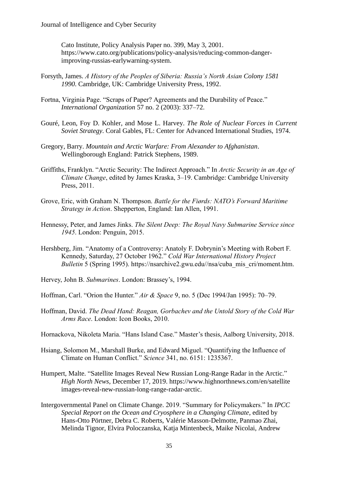Cato Institute, Policy Analysis Paper no. 399, May 3, 2001. https://www.cato.org/publications/policy-analysis/reducing-common-dangerimproving-russias-earlywarning-system.

- Forsyth, James. *A History of the Peoples of Siberia: Russia's North Asian Colony 1581 1990*. Cambridge, UK: Cambridge University Press, 1992.
- Fortna, Virginia Page. "Scraps of Paper? Agreements and the Durability of Peace." *International Organization* 57 no. 2 (2003): 337–72.
- Gouré, Leon, Foy D. Kohler, and Mose L. Harvey. *The Role of Nuclear Forces in Current Soviet Strategy*. Coral Gables, FL: Center for Advanced International Studies, 1974.
- Gregory, Barry. *Mountain and Arctic Warfare: From Alexander to Afghanistan*. Wellingborough England: Patrick Stephens, 1989.
- Griffiths, Franklyn. "Arctic Security: The Indirect Approach." In *Arctic Security in an Age of Climate Change*, edited by James Kraska, 3–19. Cambridge: Cambridge University Press, 2011.
- Grove, Eric, with Graham N. Thompson. *Battle for the Fiørds: NATO's Forward Maritime Strategy in Action*. Shepperton, England: Ian Allen, 1991.
- Hennessy, Peter, and James Jinks. *The Silent Deep: The Royal Navy Submarine Service since 1945*. London: Penguin, 2015.
- Hershberg, Jim. "Anatomy of a Controversy: Anatoly F. Dobrynin's Meeting with Robert F. Kennedy, Saturday, 27 October 1962." *Cold War International History Project Bulletin* 5 (Spring 1995). https://nsarchive2.gwu.edu//nsa/cuba\_mis\_cri/moment.htm.
- Hervey, John B. *Submarines*. London: Brassey's, 1994.
- Hoffman, Carl. "Orion the Hunter." *Air & Space* 9, no. 5 (Dec 1994/Jan 1995): 70–79.
- Hoffman, David. *The Dead Hand: Reagan, Gorbachev and the Untold Story of the Cold War Arms Race*. London: Icon Books, 2010.

Hornackova, Nikoleta Maria. "Hans Island Case." Master's thesis, Aalborg University, 2018.

- Hsiang, Solomon M., Marshall Burke, and Edward Miguel. "Quantifying the Influence of Climate on Human Conflict." *Science* 341, no. 6151: 1235367.
- Humpert, Malte. "Satellite Images Reveal New Russian Long-Range Radar in the Arctic." *High North News*, December 17, 2019. https://www.highnorthnews.com/en/satellite images-reveal-new-russian-long-range-radar-arctic.
- Intergovernmental Panel on Climate Change. 2019. "Summary for Policymakers." In *IPCC Special Report on the Ocean and Cryosphere in a Changing Climate*, edited by Hans-Otto Pörtner, Debra C. Roberts, Valérie Masson-Delmotte, Panmao Zhai, Melinda Tignor, Elvira Poloczanska, Katja Mintenbeck, Maike Nicolai, Andrew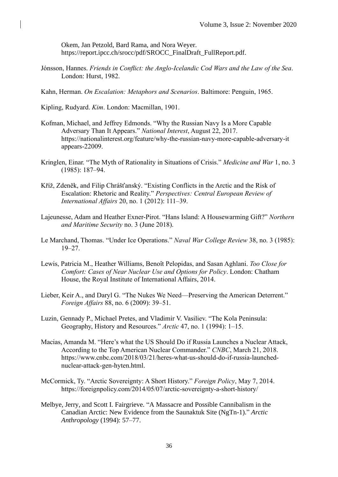Okem, Jan Petzold, Bard Rama, and Nora Weyer. https://report.ipcc.ch/srocc/pdf/SROCC\_FinalDraft\_FullReport.pdf.

- Jónsson, Hannes. *Friends in Conflict: the Anglo-Icelandic Cod Wars and the Law of the Sea*. London: Hurst, 1982.
- Kahn, Herman. *On Escalation: Metaphors and Scenarios*. Baltimore: Penguin, 1965.

Kipling, Rudyard. *Kim*. London: Macmillan, 1901.

- Kofman, Michael, and Jeffrey Edmonds. "Why the Russian Navy Is a More Capable Adversary Than It Appears." *National Interest*, August 22, 2017. https://nationalinterest.org/feature/why-the-russian-navy-more-capable-adversary-it appears-22009.
- Kringlen, Einar. "The Myth of Rationality in Situations of Crisis." *Medicine and War* 1, no. 3 (1985): 187–94.
- Kříž, Zdeněk, and Filip Chrášťanský. "Existing Conflicts in the Arctic and the Risk of Escalation: Rhetoric and Reality." *Perspectives: Central European Review of International Affairs* 20, no. 1 (2012): 111–39.
- Lajeunesse, Adam and Heather Exner-Pirot. "Hans Island: A Housewarming Gift?" *Northern and Maritime Security* no. 3 (June 2018).
- Le Marchand, Thomas. "Under Ice Operations." *Naval War College Review* 38, no. 3 (1985): 19–27.
- Lewis, Patricia M., Heather Williams, Benoît Pelopidas, and Sasan Aghlani. *Too Close for Comfort: Cases of Near Nuclear Use and Options for Policy*. London: Chatham House, the Royal Institute of International Affairs, 2014.
- Lieber, Keir A., and Daryl G. "The Nukes We Need—Preserving the American Deterrent." *Foreign Affairs* 88, no. 6 (2009): 39–51.
- Luzin, Gennady P., Michael Pretes, and Vladimir V. Vasiliev. "The Kola Peninsula: Geography, History and Resources." *Arctic* 47, no. 1 (1994): 1–15.
- Macias, Amanda M. "Here's what the US Should Do if Russia Launches a Nuclear Attack, According to the Top American Nuclear Commander." *CNBC*, March 21, 2018. https://www.cnbc.com/2018/03/21/heres-what-us-should-do-if-russia-launchednuclear-attack-gen-hyten.html.
- McCormick, Ty. "Arctic Sovereignty: A Short History." *Foreign Policy*, May 7, 2014. https://foreignpolicy.com/2014/05/07/arctic-sovereignty-a-short-history/
- Melbye, Jerry, and Scott I. Fairgrieve. "A Massacre and Possible Cannibalism in the Canadian Arctic: New Evidence from the Saunaktuk Site (NgTn-1)." *Arctic Anthropology* (1994): 57–77.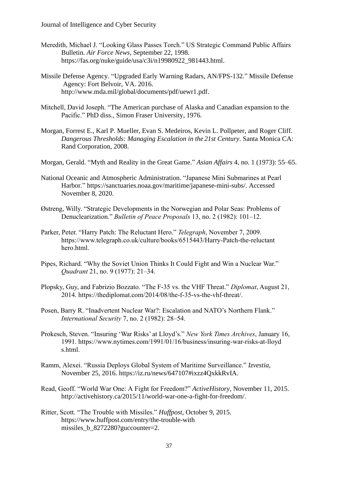- Meredith, Michael J. "Looking Glass Passes Torch." US Strategic Command Public Affairs Bulletin. *Air Force News*, September 22, 1998. https://fas.org/nuke/guide/usa/c3i/n19980922\_981443.html.
- Missile Defense Agency. "Upgraded Early Warning Radars, AN/FPS-132." Missile Defense Agency: Fort Belvoir, VA. 2016. http://www.mda.mil/global/documents/pdf/uewr1.pdf.
- Mitchell, David Joseph. "The American purchase of Alaska and Canadian expansion to the Pacific." PhD diss., Simon Fraser University, 1976.
- Morgan, Forrest E., Karl P. Mueller, Evan S. Medeiros, Kevin L. Pollpeter, and Roger Cliff. *Dangerous Thresholds: Managing Escalation in the 21st Century*. Santa Monica CA: Rand Corporation, 2008.
- Morgan, Gerald. "Myth and Reality in the Great Game." *Asian Affairs* 4, no. 1 (1973): 55–65.
- National Oceanic and Atmospheric Administration. "Japanese Mini Submarines at Pearl Harbor." [https://sanctuaries.noaa.gov/maritime/japanese-mini-subs/.](https://sanctuaries.noaa.gov/maritime/japanese-mini-subs/) Accessed November 8, 2020.
- Østreng, Willy. "Strategic Developments in the Norwegian and Polar Seas: Problems of Denuclearization." *Bulletin of Peace Proposals* 13, no. 2 (1982): 101–12.
- Parker, Peter. "Harry Patch: The Reluctant Hero." *Telegraph*, November 7, 2009. https://www.telegraph.co.uk/culture/books/6515443/Harry-Patch-the-reluctant hero.html.
- Pipes, Richard. "Why the Soviet Union Thinks It Could Fight and Win a Nuclear War." *Quadrant* 21, no. 9 (1977): 21–34.
- Plopsky, Guy, and Fabrizio Bozzato. "The F-35 vs. the VHF Threat." *Diplomat*, August 21, 2014. https://thediplomat.com/2014/08/the-f-35-vs-the-vhf-threat/.
- Posen, Barry R. "Inadvertent Nuclear War?: Escalation and NATO's Northern Flank." *International Security* 7, no. 2 (1982): 28–54.
- Prokesch, Steven. "Insuring 'War Risks' at Lloyd's." *New York Times Archives*, January 16, 1991. https://www.nytimes.com/1991/01/16/business/insuring-war-risks-at-lloyd s.html.
- Ramm, Alexei. "Russia Deploys Global System of Maritime Surveillance." *Izvestia*, November 25, 2016. https://iz.ru/news/647107#ixzz4QxkkRvIA.
- Read, Geoff. "World War One: A Fight for Freedom?" *ActiveHistory*, November 11, 2015. http://activehistory.ca/2015/11/world-war-one-a-fight-for-freedom/.
- Ritter, Scott. "The Trouble with Missiles." *Huffpost*, October 9, 2015. https://www.huffpost.com/entry/the-trouble-with missiles b 8272280?guccounter=2.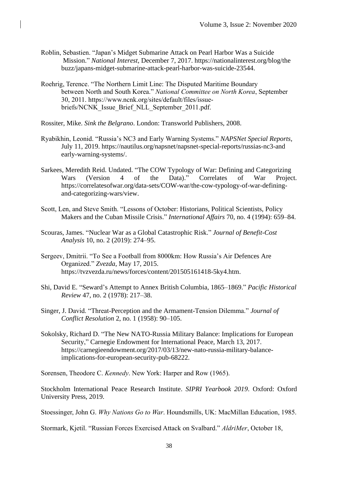- Roblin, Sebastien. "Japan's Midget Submarine Attack on Pearl Harbor Was a Suicide Mission." *National Interest*, December 7, 2017. https://nationalinterest.org/blog/the buzz/japans-midget-submarine-attack-pearl-harbor-was-suicide-23544.
- Roehrig, Terence. "The Northern Limit Line: The Disputed Maritime Boundary between North and South Korea." *National Committee on North Korea*, September 30, 2011. https://www.ncnk.org/sites/default/files/issuebriefs/NCNK\_Issue\_Brief\_NLL\_September\_2011.pdf.
- Rossiter, Mike. *Sink the Belgrano*. London: Transworld Publishers, 2008.
- Ryabikhin, Leonid. "Russia's NC3 and Early Warning Systems." *NAPSNet Special Reports*, July 11, 2019. https://nautilus.org/napsnet/napsnet-special-reports/russias-nc3-and early-warning-systems/.
- Sarkees, Meredith Reid. Undated. "The COW Typology of War: Defining and Categorizing Wars (Version 4 of the Data)." Correlates of War Project. https://correlatesofwar.org/data-sets/COW-war/the-cow-typology-of-war-definingand-categorizing-wars/view.
- Scott, Len, and Steve Smith. "Lessons of October: Historians, Political Scientists, Policy Makers and the Cuban Missile Crisis." *International Affairs* 70, no. 4 (1994): 659–84.
- Scouras, James. "Nuclear War as a Global Catastrophic Risk." *Journal of Benefit-Cost Analysis* 10, no. 2 (2019): 274–95.
- Sergeev, Dmitrii. "To See a Football from 8000km: How Russia's Air Defences Are Organized." *Zvezda*, May 17, 2015. https://tvzvezda.ru/news/forces/content/201505161418-5ky4.htm.
- Shi, David E. "Seward's Attempt to Annex British Columbia, 1865–1869." *Pacific Historical Review* 47, no. 2 (1978): 217–38.
- Singer, J. David. "Threat-Perception and the Armament-Tension Dilemma." *Journal of Conflict Resolution* 2, no. 1 (1958): 90–105.
- Sokolsky, Richard D. "The New NATO-Russia Military Balance: Implications for European Security," Carnegie Endowment for International Peace, March 13, 2017. https://carnegieendowment.org/2017/03/13/new-nato-russia-military-balanceimplications-for-european-security-pub-68222.

Sorensen, Theodore C. *Kennedy*. New York: Harper and Row (1965).

Stockholm International Peace Research Institute. *SIPRI Yearbook 2019*. Oxford: Oxford University Press, 2019.

Stoessinger, John G. *Why Nations Go to War*. Houndsmills, UK: MacMillan Education, 1985.

Stormark, Kjetil. "Russian Forces Exercised Attack on Svalbard." *AldriMer*, October 18,